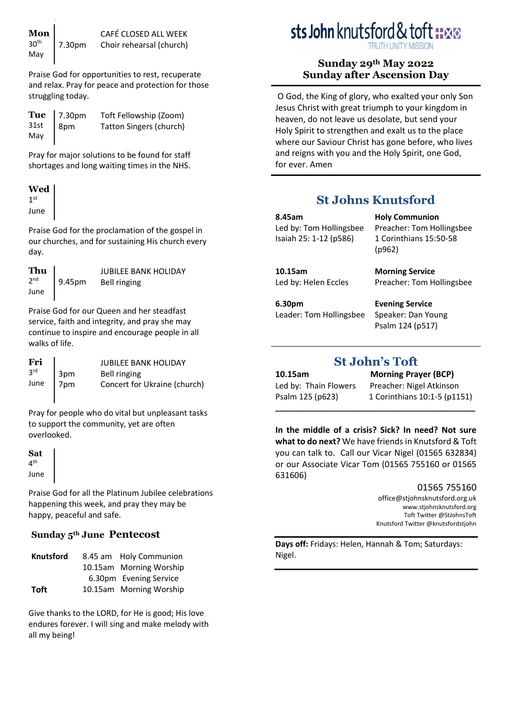Praise God for opportunities to rest, recuperate and relax. Pray for peace and protection for those struggling today.

|     | <b>Tue</b> $\begin{array}{ l}$ 7.30pm<br>31st $\begin{array}{ l} 30 \text{pm} \end{array}$ | Toft Fellowship (Zoom)         |
|-----|--------------------------------------------------------------------------------------------|--------------------------------|
|     |                                                                                            | <b>Tatton Singers (church)</b> |
| May |                                                                                            |                                |

Pray for major solutions to be found for staff shortages and long waiting times in the NHS.

#### **Wed**  $1<sup>st</sup>$ June

Praise God for the proclamation of the gospel in our churches, and for sustaining His church every day.

| Thu             |  |
|-----------------|--|
| 2 <sub>nd</sub> |  |
| June            |  |

 $\mathbf{r}$ 

9.45pm JUBILEE BANK HOLIDAY Bell ringing

Praise God for our Queen and her steadfast service, faith and integrity, and pray she may continue to inspire and encourage people in all walks of life.

| Fri<br>3 <sup>rd</sup> | 3pm | <b>JUBILEE BANK HOLIDAY</b><br>Bell ringing |
|------------------------|-----|---------------------------------------------|
| June                   | 7pm | Concert for Ukraine (church)                |

Pray for people who do vital but unpleasant tasks to support the community, yet are often overlooked.

**Sat** 4<sup>th</sup> June

Praise God for all the Platinum Jubilee celebrations happening this week, and pray they may be happy, peaceful and safe.

# **Sunday 5th June Pentecost**

| <b>Knutsford</b> | 8.45 am Holy Communion  |
|------------------|-------------------------|
|                  | 10.15am Morning Worship |
|                  | 6.30pm Evening Service  |
| <b>Toft</b>      | 10.15am Morning Worship |

Give thanks to the LORD, for He is good; His love endures forever. I will sing and make melody with all my being!

# sts John knutsford & tof

## **Sunday 29th May 2022 Sunday after Ascension Day**

O God, the King of glory, who exalted your only Son Jesus Christ with great triumph to your kingdom in heaven, do not leave us desolate, but send your Holy Spirit to strengthen and exalt us to the place where our Saviour Christ has gone before, who lives and reigns with you and the Holy Spirit, one God, for ever. Amen

# **St Johns Knutsford**

(p962)

**8.45am** Led by: Tom Hollingsbee Isaiah 25: 1-12 (p586)

**10.15am** Led by: Helen Eccles

Preacher: Tom Hollingsbee **Evening Service**

**Holy Communion**

**Morning Service**

Preacher: Tom Hollingsbee 1 Corinthians 15:50-58

**6.30pm** Leader: Tom Hollingsbee Speaker: Dan Young Psalm 124 (p517)

# **St John's Toft**

**10.15am Morning Prayer (BCP)** Led by: Thain Flowers Preacher: Nigel Atkinson Psalm 125 (p623) 1 Corinthians 10:1-5 (p1151)

**In the middle of a crisis? Sick? In need? Not sure what to do next?** We have friends in Knutsford & Toft you can talk to. Call our Vicar Nigel (01565 632834) or our Associate Vicar Tom (01565 755160 or 01565 631606)

**\_\_\_\_\_\_\_\_\_\_\_\_\_\_\_\_\_\_\_\_\_\_\_\_\_\_\_\_\_\_\_\_\_\_\_\_\_\_\_\_\_\_\_\_\_** 

## 01565 755160

[office@stjohnsknutsford.org.uk](mailto:office@stjohnsknutsford.org.uk) [www.stjohnsknutsford.org](http://www.stjohnsknutsford.org/) Toft Twitter @StJohnsToft Knutsford Twitter @knutsfordstjohn

**Days off:** Fridays: Helen, Hannah & Tom; Saturdays: Nigel.